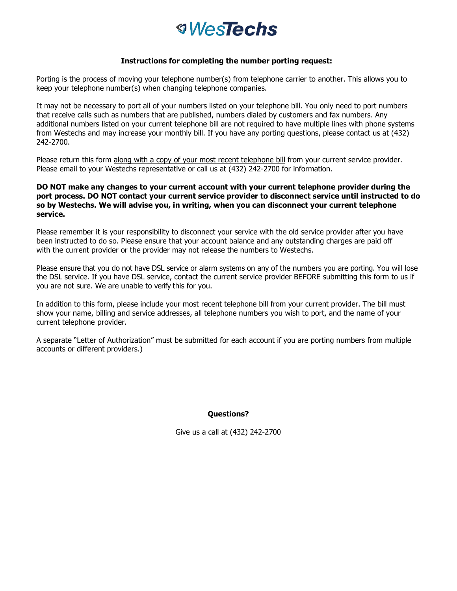# *<u><i><b>WesTechs</u>*</u>

#### **Instructions for completing the number porting request:**

Porting is the process of moving your telephone number(s) from telephone carrier to another. This allows you to keep your telephone number(s) when changing telephone companies.

It may not be necessary to port all of your numbers listed on your telephone bill. You only need to port numbers that receive calls such as numbers that are published, numbers dialed by customers and fax numbers. Any additional numbers listed on your current telephone bill are not required to have multiple lines with phone systems from Westechs and may increase your monthly bill. If you have any porting questions, please contact us at (432) 242-2700.

Please return this form along with a copy of your most recent telephone bill from your current service provider. Please email to your Westechs representative or call us at (432) 242-2700 for information.

#### **DO NOT make any changes to your current account with your current telephone provider during the port process. DO NOT contact your current service provider to disconnect service until instructed to do so by Westechs. We will advise you, in writing, when you can disconnect your current telephone service.**

Please remember it is your responsibility to disconnect your service with the old service provider after you have been instructed to do so. Please ensure that your account balance and any outstanding charges are paid off with the current provider or the provider may not release the numbers to Westechs.

Please ensure that you do not have DSL service or alarm systems on any of the numbers you are porting. You will lose the DSL service. If you have DSL service, contact the current service provider BEFORE submitting this form to us if you are not sure. We are unable to verify this for you.

In addition to this form, please include your most recent telephone bill from your current provider. The bill must show your name, billing and service addresses, all telephone numbers you wish to port, and the name of your current telephone provider.

A separate "Letter of Authorization" must be submitted for each account if you are porting numbers from multiple accounts or different providers.)

## **Questions?**

Give us a call at (432) 242-2700